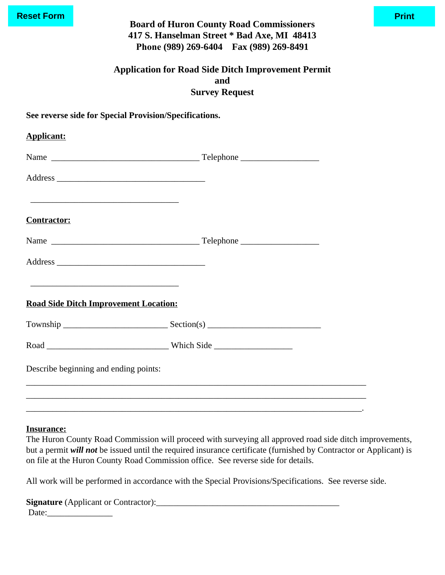| <b>Reset Form</b>  | <b>Board of Huron County Road Commissioners</b><br>417 S. Hanselman Street * Bad Axe, MI 48413<br>Phone (989) 269-6404 Fax (989) 269-8491 | <b>Print</b> |
|--------------------|-------------------------------------------------------------------------------------------------------------------------------------------|--------------|
|                    | <b>Application for Road Side Ditch Improvement Permit</b><br>and<br><b>Survey Request</b>                                                 |              |
|                    | See reverse side for Special Provision/Specifications.                                                                                    |              |
| <b>Applicant:</b>  |                                                                                                                                           |              |
|                    |                                                                                                                                           |              |
|                    |                                                                                                                                           |              |
| <b>Contractor:</b> |                                                                                                                                           |              |
|                    |                                                                                                                                           |              |
|                    |                                                                                                                                           |              |
|                    | <u> 1980 - Johann John Stone, mars et al. (1980)</u><br><b>Road Side Ditch Improvement Location:</b>                                      |              |
|                    |                                                                                                                                           |              |
|                    |                                                                                                                                           |              |
|                    | Describe beginning and ending points:                                                                                                     |              |
|                    |                                                                                                                                           |              |
|                    |                                                                                                                                           |              |

# **Insurance:**

The Huron County Road Commission will proceed with surveying all approved road side ditch improvements, but a permit *will not* be issued until the required insurance certificate (furnished by Contractor or Applicant) is on file at the Huron County Road Commission office. See reverse side for details.

All work will be performed in accordance with the Special Provisions/Specifications. See reverse side.

| <b>Signature</b> (Applicant or Contractor): |
|---------------------------------------------|
| Date:                                       |